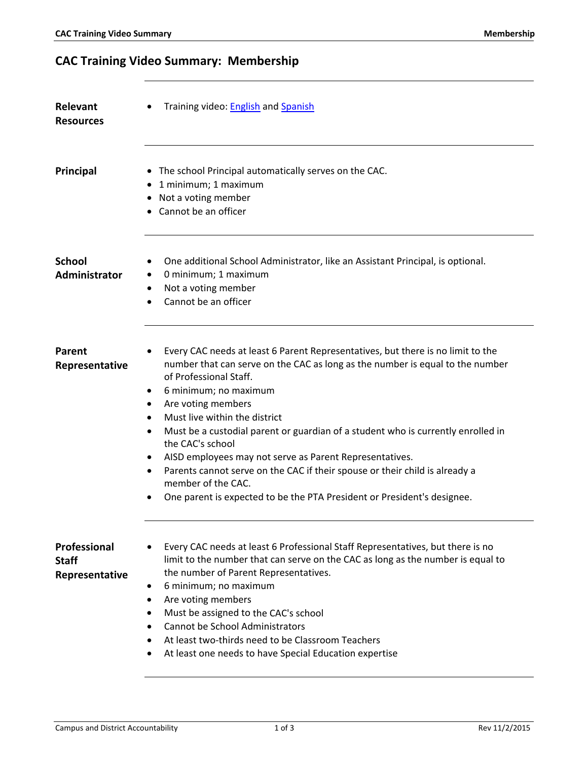## **CAC Training Video Summary: Membership**

| Relevant<br><b>Resources</b>                          | Training video: English and Spanish                                                                                                                                                                                                                                                                                                                                                                                                                                                                                                                                                                                                                                                              |
|-------------------------------------------------------|--------------------------------------------------------------------------------------------------------------------------------------------------------------------------------------------------------------------------------------------------------------------------------------------------------------------------------------------------------------------------------------------------------------------------------------------------------------------------------------------------------------------------------------------------------------------------------------------------------------------------------------------------------------------------------------------------|
| Principal                                             | • The school Principal automatically serves on the CAC.<br>• 1 minimum; 1 maximum<br>• Not a voting member<br>• Cannot be an officer                                                                                                                                                                                                                                                                                                                                                                                                                                                                                                                                                             |
| <b>School</b><br>Administrator                        | One additional School Administrator, like an Assistant Principal, is optional.<br>0 minimum; 1 maximum<br>$\bullet$<br>Not a voting member<br>$\bullet$<br>Cannot be an officer                                                                                                                                                                                                                                                                                                                                                                                                                                                                                                                  |
| Parent<br>Representative                              | Every CAC needs at least 6 Parent Representatives, but there is no limit to the<br>number that can serve on the CAC as long as the number is equal to the number<br>of Professional Staff.<br>6 minimum; no maximum<br>$\bullet$<br>Are voting members<br>٠<br>Must live within the district<br>$\bullet$<br>Must be a custodial parent or guardian of a student who is currently enrolled in<br>$\bullet$<br>the CAC's school<br>AISD employees may not serve as Parent Representatives.<br>٠<br>Parents cannot serve on the CAC if their spouse or their child is already a<br>$\bullet$<br>member of the CAC.<br>One parent is expected to be the PTA President or President's designee.<br>٠ |
| <b>Professional</b><br><b>Staff</b><br>Representative | Every CAC needs at least 6 Professional Staff Representatives, but there is no<br>limit to the number that can serve on the CAC as long as the number is equal to<br>the number of Parent Representatives.<br>6 minimum; no maximum<br>٠<br>Are voting members<br>$\bullet$<br>Must be assigned to the CAC's school<br>٠<br><b>Cannot be School Administrators</b><br>٠<br>At least two-thirds need to be Classroom Teachers<br>٠<br>At least one needs to have Special Education expertise                                                                                                                                                                                                      |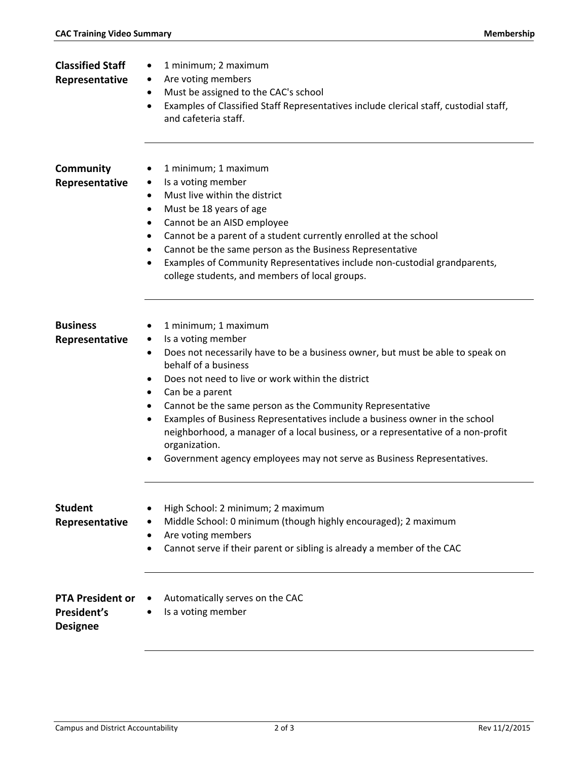| <b>Classified Staff</b><br>Representative                 | 1 minimum; 2 maximum<br>٠<br>Are voting members<br>٠<br>Must be assigned to the CAC's school<br>٠<br>Examples of Classified Staff Representatives include clerical staff, custodial staff,<br>$\bullet$<br>and cafeteria staff.                                                                                                                                                                                                                                                                                                                                                               |
|-----------------------------------------------------------|-----------------------------------------------------------------------------------------------------------------------------------------------------------------------------------------------------------------------------------------------------------------------------------------------------------------------------------------------------------------------------------------------------------------------------------------------------------------------------------------------------------------------------------------------------------------------------------------------|
| Community<br>Representative                               | 1 minimum; 1 maximum<br>٠<br>Is a voting member<br>٠<br>Must live within the district<br>٠<br>Must be 18 years of age<br>$\bullet$<br>Cannot be an AISD employee<br>٠<br>Cannot be a parent of a student currently enrolled at the school<br>٠<br>Cannot be the same person as the Business Representative<br>٠<br>Examples of Community Representatives include non-custodial grandparents,<br>college students, and members of local groups.                                                                                                                                                |
| <b>Business</b><br>Representative                         | 1 minimum; 1 maximum<br>Is a voting member<br>$\bullet$<br>Does not necessarily have to be a business owner, but must be able to speak on<br>٠<br>behalf of a business<br>Does not need to live or work within the district<br>٠<br>Can be a parent<br>٠<br>Cannot be the same person as the Community Representative<br>٠<br>Examples of Business Representatives include a business owner in the school<br>٠<br>neighborhood, a manager of a local business, or a representative of a non-profit<br>organization.<br>Government agency employees may not serve as Business Representatives. |
| <b>Student</b><br>Representative                          | High School: 2 minimum; 2 maximum<br>$\bullet$<br>Middle School: 0 minimum (though highly encouraged); 2 maximum<br>Are voting members<br>٠<br>Cannot serve if their parent or sibling is already a member of the CAC                                                                                                                                                                                                                                                                                                                                                                         |
| <b>PTA President or</b><br>President's<br><b>Designee</b> | Automatically serves on the CAC<br>Is a voting member                                                                                                                                                                                                                                                                                                                                                                                                                                                                                                                                         |